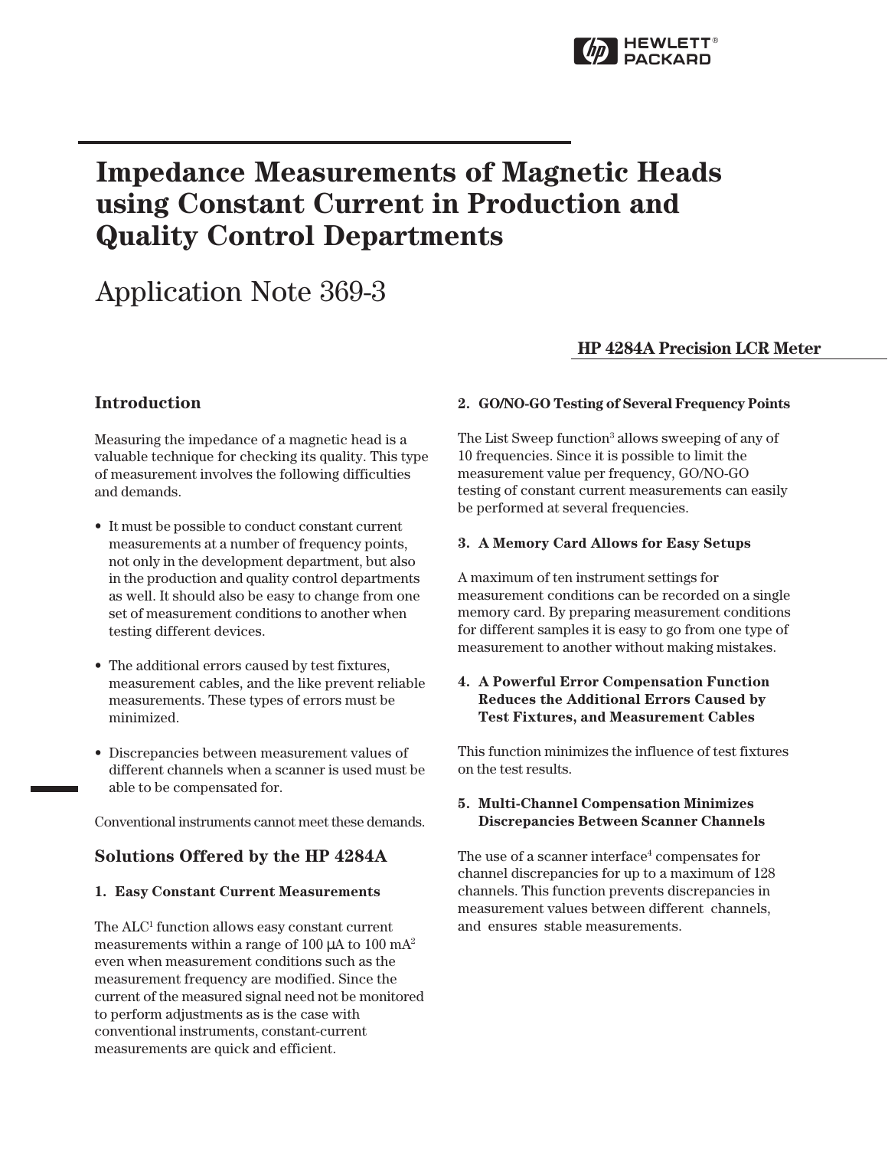

# Impedance Measurements of Magnetic Heads using Constant Current in Production and Quality Control Departments

# Application Note 369-3

## HP 4284A Precision LCR Meter

## **Introduction**

Measuring the impedance of a magnetic head is a valuable technique for checking its quality. This type of measurement involves the following difficulties and demands.

- It must be possible to conduct constant current measurements at a number of frequency points, not only in the development department, but also in the production and quality control departments as well. It should also be easy to change from one set of measurement conditions to another when testing different devices.
- The additional errors caused by test fixtures, measurement cables, and the like prevent reliable measurements. These types of errors must be minimized.
- Discrepancies between measurement values of different channels when a scanner is used must be able to be compensated for.

Conventional instruments cannot meet these demands.

## Solutions Offered by the HP 4284A

## 1. Easy Constant Current Measurements

The ALC<sup>1</sup> function allows easy constant current measurements within a range of 100  $\mu$ A to 100 mA<sup>2</sup> even when measurement conditions such as the measurement frequency are modified. Since the current of the measured signal need not be monitored to perform adjustments as is the case with conventional instruments, constant-current measurements are quick and efficient.

### 2. GO/NO-GO Testing of Several Frequency Points

The List Sweep function<sup>3</sup> allows sweeping of any of 10 frequencies. Since it is possible to limit the measurement value per frequency, GO/NO-GO testing of constant current measurements can easily be performed at several frequencies.

### 3. A Memory Card Allows for Easy Setups

A maximum of ten instrument settings for measurement conditions can be recorded on a single memory card. By preparing measurement conditions for different samples it is easy to go from one type of measurement to another without making mistakes.

## 4. A Powerful Error Compensation Function Reduces the Additional Errors Caused by Test Fixtures, and Measurement Cables

This function minimizes the influence of test fixtures on the test results.

#### 5. Multi-Channel Compensation Minimizes Discrepancies Between Scanner Channels

The use of a scanner interface<sup>4</sup> compensates for channel discrepancies for up to a maximum of 128 channels. This function prevents discrepancies in measurement values between different channels, and ensures stable measurements.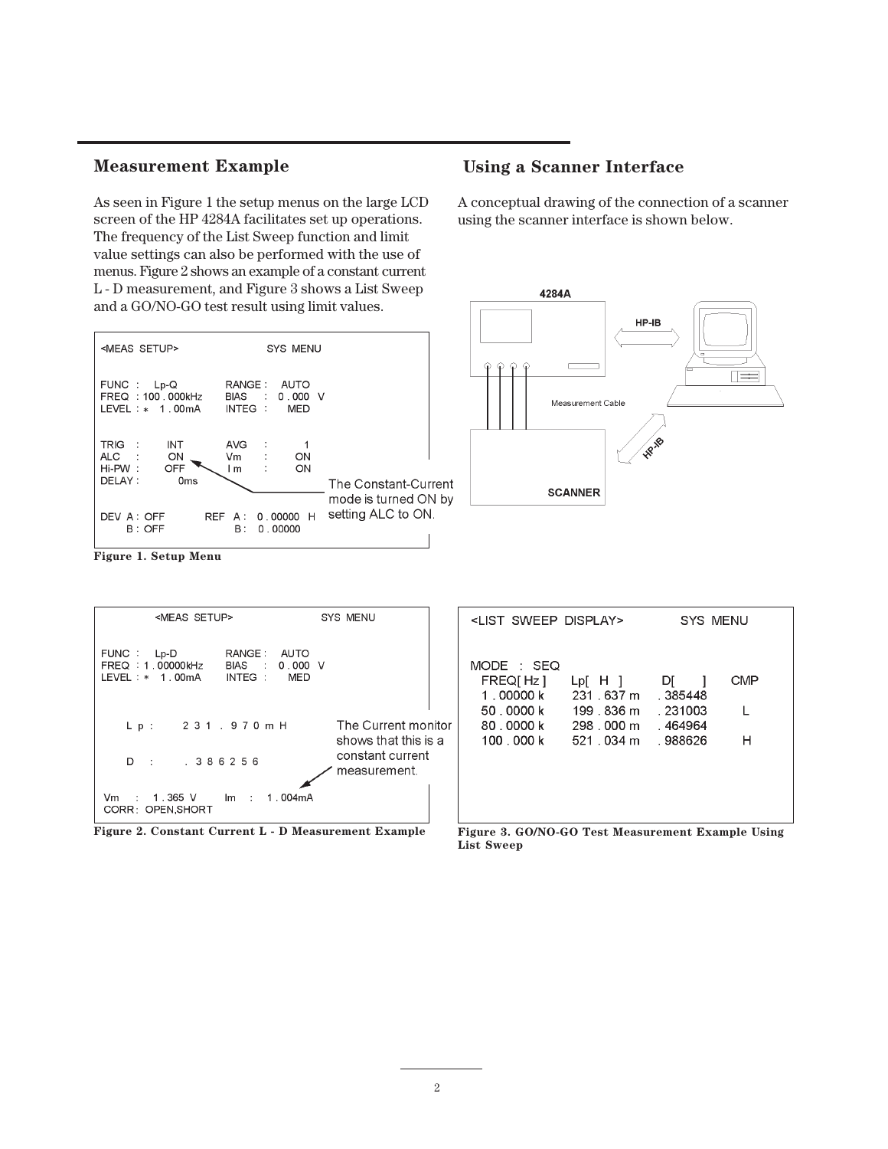## Measurement Example

As seen in Figure 1 the setup menus on the large LCD screen of the HP 4284A facilitates set up operations. The frequency of the List Sweep function and limit value settings can also be performed with the use of menus. Figure 2 shows an example of a constant current L - D measurement, and Figure 3 shows a List Sweep and a GO/NO-GO test result using limit values.



## Using a Scanner Interface

A conceptual drawing of the connection of a scanner using the scanner interface is shown below.



Figure 1. Setup Menu

| <meas setup=""></meas>                                                                                                                                 | SYS MENU                                                        | <list display="" sweep=""></list>                                         |                                                                          | SYS MENU                                         |                 |
|--------------------------------------------------------------------------------------------------------------------------------------------------------|-----------------------------------------------------------------|---------------------------------------------------------------------------|--------------------------------------------------------------------------|--------------------------------------------------|-----------------|
| RANGE:<br>FUNC:<br>AUTO<br>$Lp-D$<br>$0.000 \, \text{V}$<br>FREQ: 1.00000kHz<br>BIAS :<br>$LEVEL : * 1.00mA$<br>INTEG :<br>MED<br>231.970mH<br>$L$ p : | The Current monitor<br>shows that this is a<br>constant current | MODE : SEQ<br>FREQ[Hz]<br>1 . 00000 k<br>50.0000k<br>80.0000k<br>100.000k | $Lp$ $H$ $\vert$<br>231 . 637 m<br>199 . 836 m<br>298,000 m<br>521 034 m | DI<br>. 385448<br>. 231003<br>.464964<br>.988626 | <b>CMP</b><br>H |
| .386256<br>$D \rightarrow$<br>1.365 V<br>1.004mA<br>Vm<br>Im:<br>CORR: OPEN.SHORT                                                                      | measurement.                                                    |                                                                           |                                                                          |                                                  |                 |



O/NO-GO List Sweep